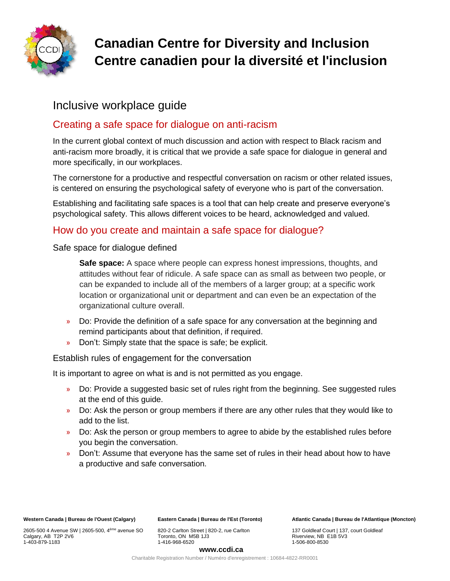

# **Canadian Centre for Diversity and Inclusion Centre canadien pour la diversité et l'inclusion**

# Inclusive workplace guide

# Creating a safe space for dialogue on anti-racism

In the current global context of much discussion and action with respect to Black racism and anti-racism more broadly, it is critical that we provide a safe space for dialogue in general and more specifically, in our workplaces.

The cornerstone for a productive and respectful conversation on racism or other related issues, is centered on ensuring the psychological safety of everyone who is part of the conversation.

Establishing and facilitating safe spaces is a tool that can help create and preserve everyone's psychological safety. This allows different voices to be heard, acknowledged and valued.

## How do you create and maintain a safe space for dialogue?

Safe space for dialogue defined

**Safe space:** A space where people can express honest impressions, thoughts, and attitudes without fear of ridicule. A safe space can as small as between two people, or can be expanded to include all of the members of a larger group; at a specific work location or organizational unit or department and can even be an expectation of the organizational culture overall.

- » Do: Provide the definition of a safe space for any conversation at the beginning and remind participants about that definition, if required.
- » Don't: Simply state that the space is safe; be explicit.

#### Establish rules of engagement for the conversation

It is important to agree on what is and is not permitted as you engage.

- » Do: Provide a suggested basic set of rules right from the beginning. See suggested rules at the end of this guide.
- » Do: Ask the person or group members if there are any other rules that they would like to add to the list.
- » Do: Ask the person or group members to agree to abide by the established rules before you begin the conversation.
- » Don't: Assume that everyone has the same set of rules in their head about how to have a productive and safe conversation.

**Western Canada | Bureau de l'Ouest (Calgary)**

2605-500 4 Avenue SW | 2605-500, 4ème avenue SO Calgary, AB T2P 2V6 1-403-879-1183

**Eastern Canada | Bureau de l'Est (Toronto)**

820-2 Carlton Street | 820-2, rue Carlton Toronto, ON M5B 1J3 1-416-968-6520

**Atlantic Canada | Bureau de l'Atlantique (Moncton)** 

137 Goldleaf Court | 137, court Goldleaf Riverview, NB E1B 5V3 1-506-800-8530

#### **www.ccdi.ca**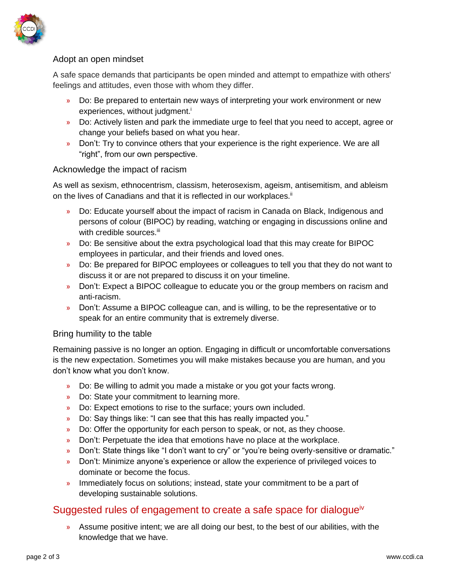

### Adopt an open mindset

A safe space demands that participants be open minded and attempt to empathize with others' feelings and attitudes, even those with whom they differ.

- » Do: Be prepared to entertain new ways of interpreting your work environment or new experiences, without judgment.<sup>i</sup>
- » Do: Actively listen and park the immediate urge to feel that you need to accept, agree or change your beliefs based on what you hear.
- » Don't: Try to convince others that your experience is the right experience. We are all "right", from our own perspective.

#### Acknowledge the impact of racism

As well as sexism, ethnocentrism, classism, heterosexism, ageism, antisemitism, and ableism on the lives of Canadians and that it is reflected in our workplaces.<sup>ii</sup>

- » Do: Educate yourself about the impact of racism in Canada on Black, Indigenous and persons of colour (BIPOC) by reading, watching or engaging in discussions online and with credible sources.<sup>iii</sup>
- » Do: Be sensitive about the extra psychological load that this may create for BIPOC employees in particular, and their friends and loved ones.
- » Do: Be prepared for BIPOC employees or colleagues to tell you that they do not want to discuss it or are not prepared to discuss it on your timeline.
- » Don't: Expect a BIPOC colleague to educate you or the group members on racism and anti-racism.
- » Don't: Assume a BIPOC colleague can, and is willing, to be the representative or to speak for an entire community that is extremely diverse.

#### Bring humility to the table

Remaining passive is no longer an option. Engaging in difficult or uncomfortable conversations is the new expectation. Sometimes you will make mistakes because you are human, and you don't know what you don't know.

- » Do: Be willing to admit you made a mistake or you got your facts wrong.
- » Do: State your commitment to learning more.
- » Do: Expect emotions to rise to the surface; yours own included.
- » Do: Say things like: "I can see that this has really impacted you."
- » Do: Offer the opportunity for each person to speak, or not, as they choose.
- » Don't: Perpetuate the idea that emotions have no place at the workplace.
- » Don't: State things like "I don't want to cry" or "you're being overly-sensitive or dramatic."
- » Don't: Minimize anyone's experience or allow the experience of privileged voices to dominate or become the focus.
- » Immediately focus on solutions; instead, state your commitment to be a part of developing sustainable solutions.

### Suggested rules of engagement to create a safe space for dialogue<sup>"</sup>

» Assume positive intent; we are all doing our best, to the best of our abilities, with the knowledge that we have.